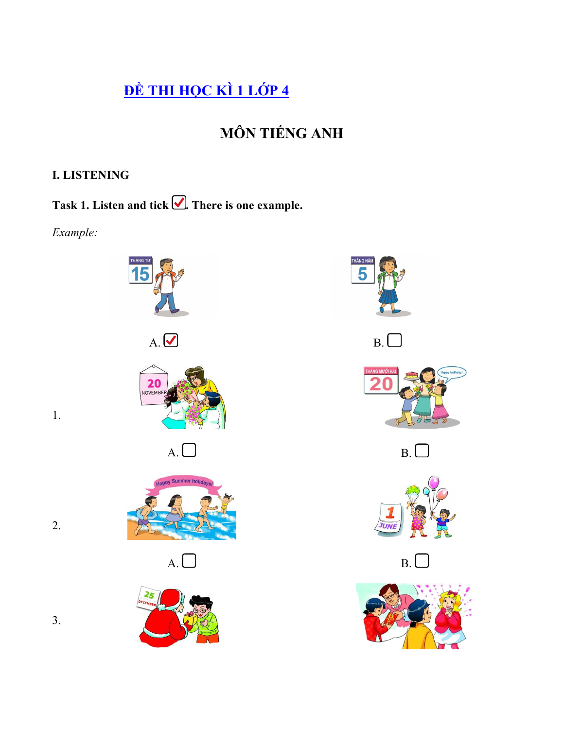# ĐỀ THI HỌC KÌ 1 LỚP 4

## **MÔN TIẾNG ANH**

## **I. LISTENING**

Task 1. Listen and tick  $\bigcirc$ . There is one example.

Example:

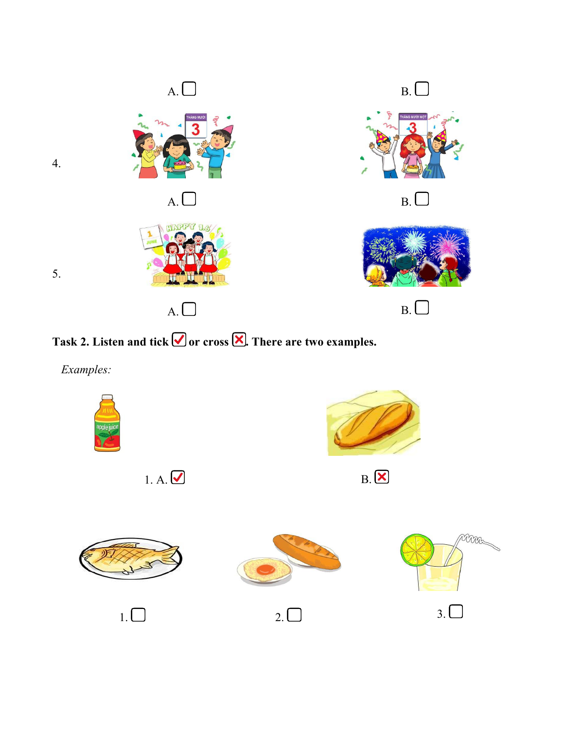



*Examples:*

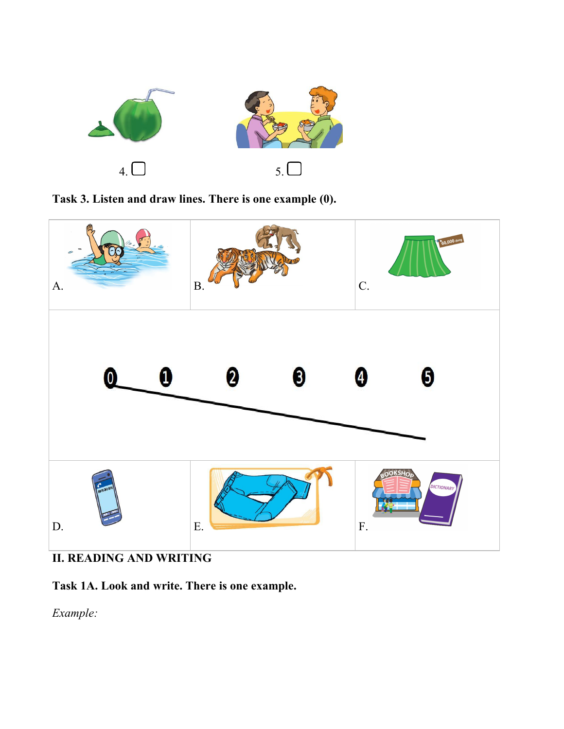





**II. READING AND WRITING**

**Task 1A. Look and write. There is one example.**

*Example:*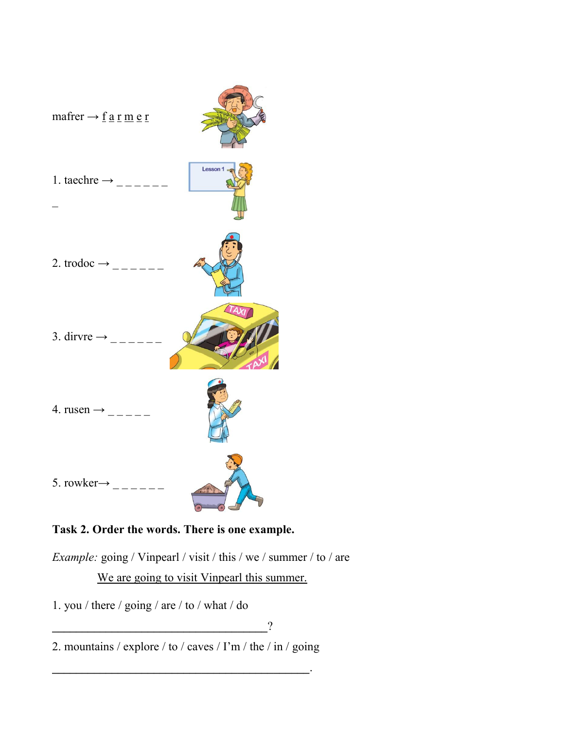

## **Task 2. Order the words. There is one example.**

*Example:* going / Vinpearl / visit / this / we / summer / to / are We are going to visit Vinpearl this summer.

1. you / there / going / are / to / what / do

**\_\_\_\_\_\_\_\_\_\_\_\_\_\_\_\_\_\_\_\_\_\_\_\_\_\_\_\_\_\_\_\_\_\_\_\_**?

2. mountains / explore / to / caves / I'm / the / in / going

**\_\_\_\_\_\_\_\_\_\_\_\_\_\_\_\_\_\_\_\_\_\_\_\_\_\_\_\_\_\_\_\_\_\_\_\_\_\_\_\_\_\_\_**.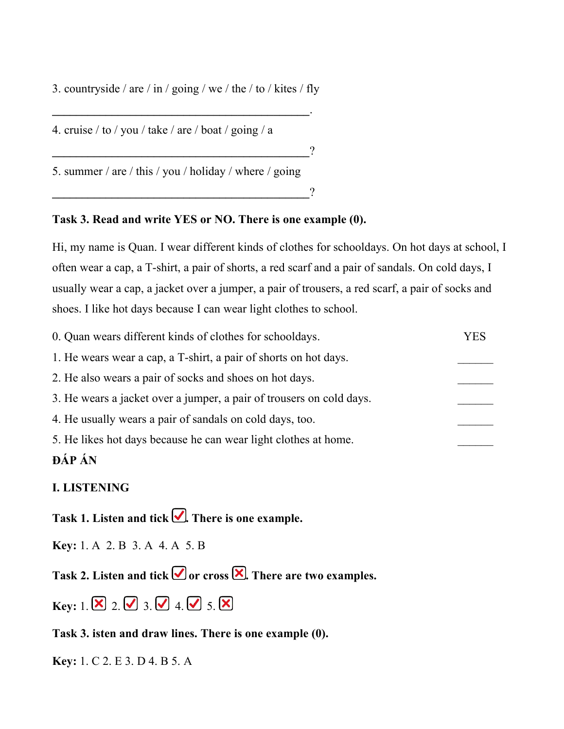3. countryside / are / in / going / we / the / to / kites / fly

4. cruise / to / you / take / are / boat / going / a **\_\_\_\_\_\_\_\_\_\_\_\_\_\_\_\_\_\_\_\_\_\_\_\_\_\_\_\_\_\_\_\_\_\_\_\_\_\_\_\_\_\_\_**? 5. summer / are / this / you / holiday / where / going **\_\_\_\_\_\_\_\_\_\_\_\_\_\_\_\_\_\_\_\_\_\_\_\_\_\_\_\_\_\_\_\_\_\_\_\_\_\_\_\_\_\_\_**?

#### **Task 3. Read and write YES or NO. There is one example (0).**

**\_\_\_\_\_\_\_\_\_\_\_\_\_\_\_\_\_\_\_\_\_\_\_\_\_\_\_\_\_\_\_\_\_\_\_\_\_\_\_\_\_\_\_**.

Hi, my name is Quan. I wear different kinds of clothes for schooldays. On hot days at school, I often wear a cap, a T-shirt, a pair of shorts, a red scarf and a pair of sandals. On cold days, I usually wear a cap, a jacket over a jumper, a pair of trousers, a red scarf, a pair of socks and shoes. I like hot days because I can wear light clothes to school.

| <b>DÁP</b> ÁN                                                        |            |
|----------------------------------------------------------------------|------------|
| 5. He likes hot days because he can wear light clothes at home.      |            |
| 4. He usually wears a pair of sandals on cold days, too.             |            |
| 3. He wears a jacket over a jumper, a pair of trousers on cold days. |            |
| 2. He also wears a pair of socks and shoes on hot days.              |            |
| 1. He wears wear a cap, a T-shirt, a pair of shorts on hot days.     |            |
| 0. Quan wears different kinds of clothes for schooldays.             | <b>YES</b> |

### **I. LISTENING**

**Task 1. Listen and tick . There is one example.**

**Key:** 1. A 2. B 3. A 4. A 5. B

**Task 2.** Listen and  $\text{tick} \n\mathcal{Q}$  or  $\text{cross} \n\mathcal{Q}$ . There are two examples.

**Key:** 1.  $\boxed{\mathbf{X}}$  2.  $\boxed{\mathbf{Z}}$  3.  $\boxed{\mathbf{Z}}$  4.  $\boxed{\mathbf{Z}}$  5.  $\boxed{\mathbf{X}}$ 

**Task 3. isten and draw lines. Thereis one example (0).**

**Key:** 1. C 2. E 3. D 4. B 5. A